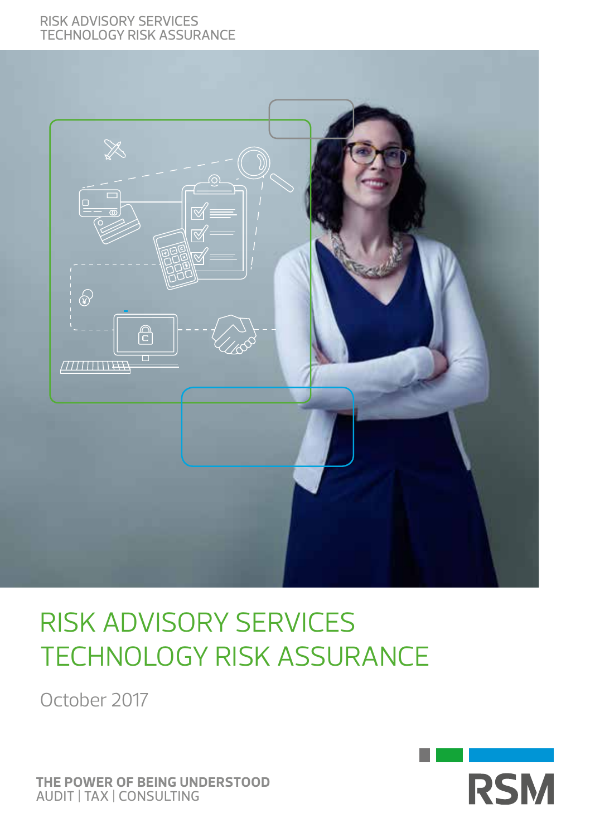#### Risk advisory Services Technology risk assurance



# Risk advisory Services Technology risk assurance

October 2017



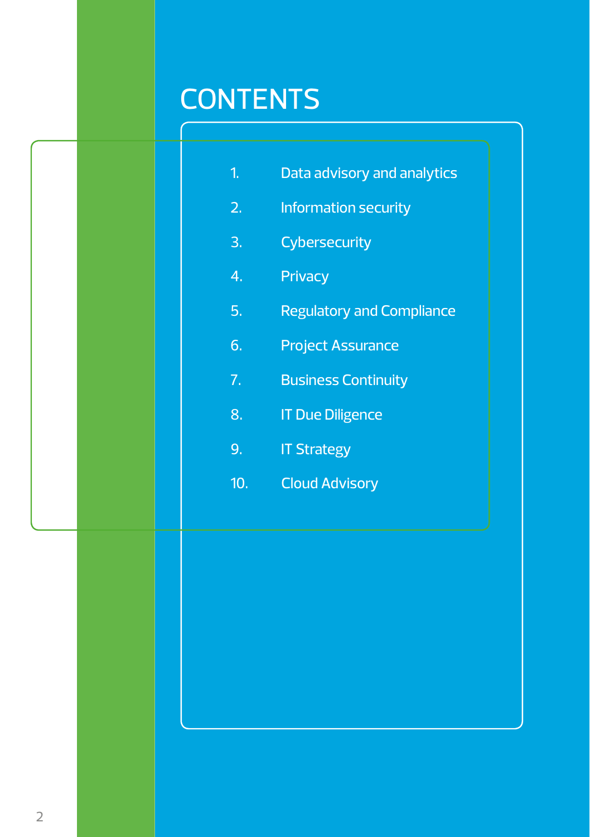# **CONTENTS**

| Data advisory and analytics |  |
|-----------------------------|--|
|-----------------------------|--|

- 2. Information security
- 3. Cybersecurity
- 4. Privacy
- 5. Regulatory and Compliance
- 6. Project Assurance
- 7. Business Continuity
- 8. **IT Due Diligence**
- 9. IT Strategy
- 10. Cloud Advisory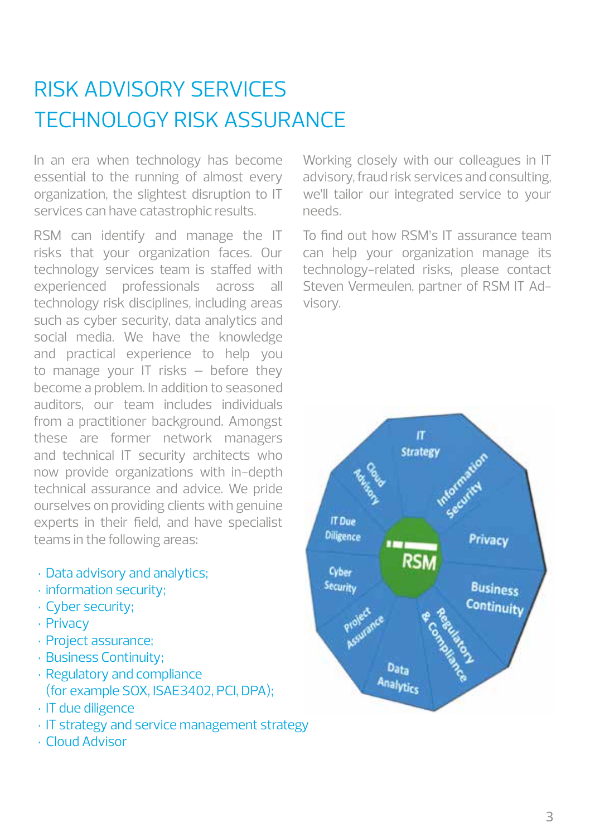# Risk advisory Services TECHNOLOGY RISK ASSURANCE

In an era when technology has become essential to the running of almost every organization, the slightest disruption to IT services can have catastrophic results.

RSM can identify and manage the IT risks that your organization faces. Our technology services team is staffed with experienced professionals across all technology risk disciplines, including areas such as cyber security, data analytics and social media. We have the knowledge and practical experience to help you to manage your IT risks – before they become a problem. In addition to seasoned auditors, our team includes individuals from a practitioner background. Amongst these are former network managers and technical IT security architects who now provide organizations with in-depth technical assurance and advice. We pride ourselves on providing clients with genuine experts in their field, and have specialist teams in the following areas:

- • Data advisory and analytics;
- $\cdot$  information security;
- • Cyber security;
- • Privacy
- • Project assurance;
- • Business Continuity;
- • Regulatory and compliance (for example SOX, ISAE3402, PCI, DPA);
- • IT due diligence
- IT strategy and service management strategy
- • Cloud Advisor

Working closely with our colleagues in IT advisory, fraud risk services and consulting, we'll tailor our integrated service to your needs.

To find out how RSM's IT assurance team can help your organization manage its technology-related risks, please contact Steven Vermeulen, partner of RSM IT Advisory.

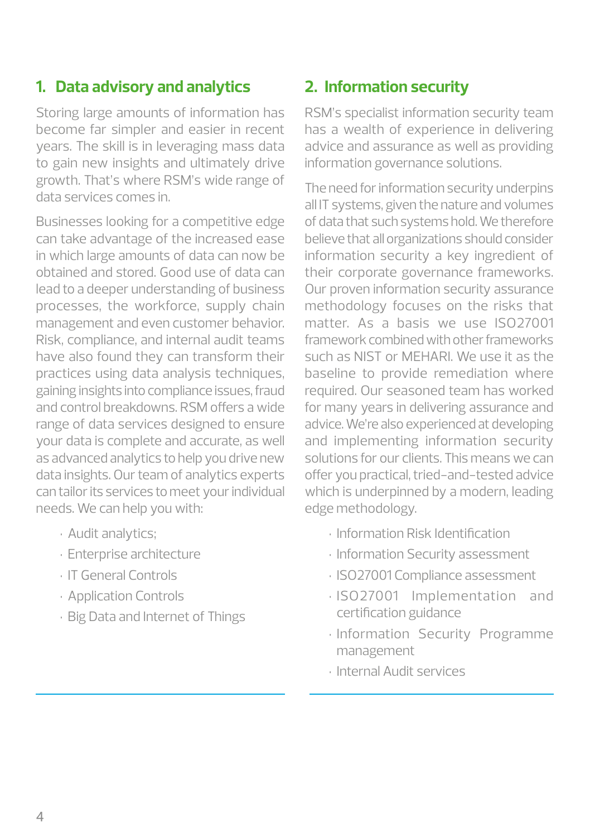#### **1. Data advisory and analytics**

Storing large amounts of information has become far simpler and easier in recent years. The skill is in leveraging mass data to gain new insights and ultimately drive growth. That's where RSM's wide range of data services comes in.

Businesses looking for a competitive edge can take advantage of the increased ease in which large amounts of data can now be obtained and stored. Good use of data can lead to a deeper understanding of business processes, the workforce, supply chain management and even customer behavior. Risk, compliance, and internal audit teams have also found they can transform their practices using data analysis techniques, gaining insights into compliance issues, fraud and control breakdowns. RSM offers a wide range of data services designed to ensure your data is complete and accurate, as well as advanced analytics to help you drive new data insights. Our team of analytics experts can tailor its services to meet your individual needs. We can help you with:

- • Audit analytics;
- • Enterprise architecture
- • IT General Controls
- • Application Controls
- • Big Data and Internet of Things

#### **2. Information security**

RSM's specialist information security team has a wealth of experience in delivering advice and assurance as well as providing information governance solutions.

The need for information security underpins all IT systems, given the nature and volumes of data that such systems hold. We therefore believe that all organizations should consider information security a key ingredient of their corporate governance frameworks. Our proven information security assurance methodology focuses on the risks that matter. As a basis we use ISO27001 framework combined with other frameworks such as NIST or MEHARI. We use it as the baseline to provide remediation where required. Our seasoned team has worked for many years in delivering assurance and advice. We're also experienced at developing and implementing information security solutions for our clients. This means we can offer you practical, tried-and-tested advice which is underpinned by a modern, leading edge methodology.

- • Information Risk Identification
- • Information Security assessment
- • ISO27001 Compliance assessment
- • ISO27001 Implementation and certification guidance
- · Information Security Programme management
- • Internal Audit services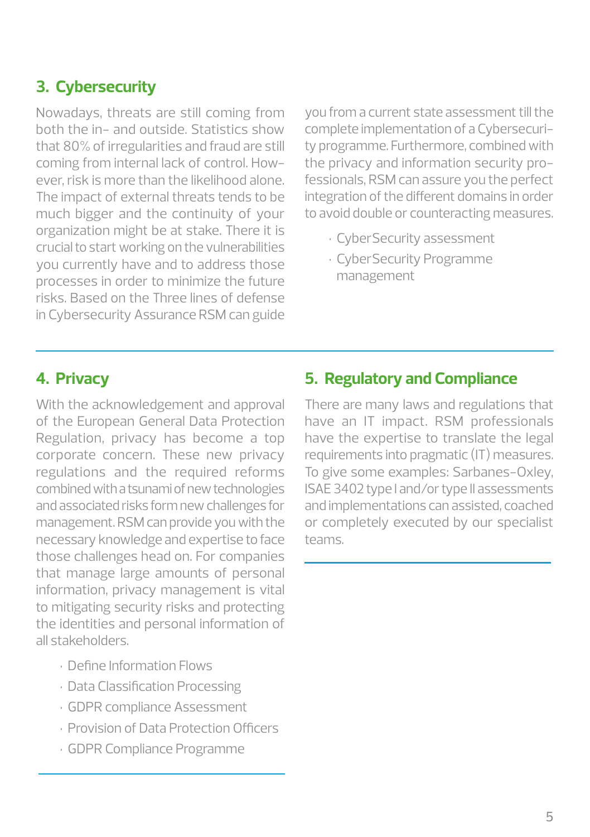#### **3. Cybersecurity**

Nowadays, threats are still coming from both the in- and outside. Statistics show that 80% of irregularities and fraud are still coming from internal lack of control. However, risk is more than the likelihood alone. The impact of external threats tends to be much bigger and the continuity of your organization might be at stake. There it is crucial to start working on the vulnerabilities you currently have and to address those processes in order to minimize the future risks. Based on the Three lines of defense in Cybersecurity Assurance RSM can guide

you from a current state assessment till the complete implementation of a Cybersecurity programme. Furthermore, combined with the privacy and information security professionals, RSM can assure you the perfect integration of the different domains in order to avoid double or counteracting measures.

- • CyberSecurity assessment
- • CyberSecurity Programme management

#### **4. Privacy**

With the acknowledgement and approval of the European General Data Protection Regulation, privacy has become a top corporate concern. These new privacy regulations and the required reforms combined with a tsunami of new technologies and associated risks form new challenges for management. RSM can provide you with the necessary knowledge and expertise to face those challenges head on. For companies that manage large amounts of personal information, privacy management is vital to mitigating security risks and protecting the identities and personal information of all stakeholders.

- • Define Information Flows
- • Data Classification Processing
- • GDPR compliance Assessment
- • Provision of Data Protection Officers
- • GDPR Compliance Programme

#### **5. Regulatory and Compliance**

There are many laws and regulations that have an IT impact. RSM professionals have the expertise to translate the legal requirements into pragmatic (IT) measures. To give some examples: Sarbanes-Oxley, ISAE 3402 type I and/or type II assessments and implementations can assisted, coached or completely executed by our specialist teams.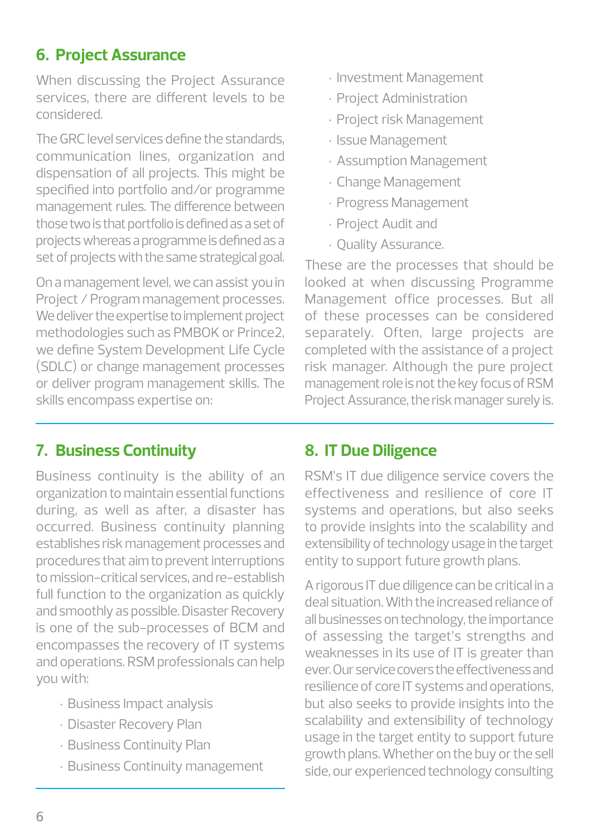### **6. Project Assurance**

When discussing the Project Assurance services, there are different levels to be considered.

The GRC level services define the standards, communication lines, organization and dispensation of all projects. This might be specified into portfolio and/or programme management rules. The difference between those two is that portfolio is defined as a set of projects whereas a programme is defined as a set of projects with the same strategical goal.

On a management level, we can assist you in Project / Program management processes. We deliver the expertise to implement project methodologies such as PMBOK or Prince2, we define System Development Life Cycle (SDLC) or change management processes or deliver program management skills. The skills encompass expertise on:

- • Investment Management
- · Project Administration
- · Project risk Management
- • Issue Management
- • Assumption Management
- • Change Management
- • Progress Management
- • Project Audit and
- • Quality Assurance.

These are the processes that should be looked at when discussing Programme Management office processes. But all of these processes can be considered separately. Often, large projects are completed with the assistance of a project risk manager. Although the pure project management role is not the key focus of RSM Project Assurance, the risk manager surely is.

### **7. Business Continuity**

Business continuity is the ability of an organization to maintain essential functions during, as well as after, a disaster has occurred. Business continuity planning establishes risk management processes and procedures that aim to prevent interruptions to mission-critical services, and re-establish full function to the organization as quickly and smoothly as possible. Disaster Recovery is one of the sub-processes of BCM and encompasses the recovery of IT systems and operations. RSM professionals can help you with:

- • Business Impact analysis
- • Disaster Recovery Plan
- • Business Continuity Plan
- • Business Continuity management

# **8. IT Due Diligence**

RSM's IT due diligence service covers the effectiveness and resilience of core IT systems and operations, but also seeks to provide insights into the scalability and extensibility of technology usage in the target entity to support future growth plans.

A rigorous IT due diligence can be critical in a deal situation. With the increased reliance of all businesses on technology, the importance of assessing the target's strengths and weaknesses in its use of IT is greater than ever. Our service covers the effectiveness and resilience of core IT systems and operations, but also seeks to provide insights into the scalability and extensibility of technology usage in the target entity to support future growth plans. Whether on the buy or the sell side, our experienced technology consulting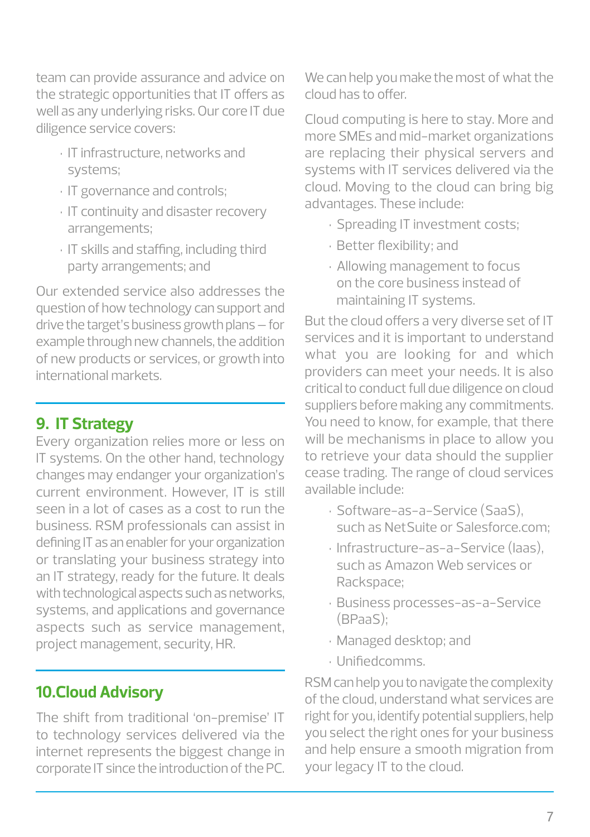team can provide assurance and advice on the strategic opportunities that IT offers as well as any underlying risks. Our core IT due diligence service covers:

- • IT infrastructure, networks and systems;
- • IT governance and controls;
- · IT continuity and disaster recovery arrangements;
- • IT skills and staffing, including third party arrangements; and

Our extended service also addresses the question of how technology can support and drive the target's business growth plans – for example through new channels, the addition of new products or services, or growth into international markets.

# **9. IT Strategy**

Every organization relies more or less on IT systems. On the other hand, technology changes may endanger your organization's current environment. However, IT is still seen in a lot of cases as a cost to run the business. RSM professionals can assist in defining IT as an enabler for your organization or translating your business strategy into an IT strategy, ready for the future. It deals with technological aspects such as networks, systems, and applications and governance aspects such as service management, project management, security, HR.

# **10.Cloud Advisory**

The shift from traditional 'on-premise' IT to technology services delivered via the internet represents the biggest change in corporate IT since the introduction of the PC. We can help you make the most of what the cloud has to offer.

Cloud computing is here to stay. More and more SMEs and mid-market organizations are replacing their physical servers and systems with IT services delivered via the cloud. Moving to the cloud can bring big advantages. These include:

- • Spreading IT investment costs;
- • Better flexibility; and
- • Allowing management to focus on the core business instead of maintaining IT systems.

But the cloud offers a very diverse set of IT services and it is important to understand what you are looking for and which providers can meet your needs. It is also critical to conduct full due diligence on cloud suppliers before making any commitments. You need to know, for example, that there will be mechanisms in place to allow you to retrieve your data should the supplier cease trading. The range of cloud services available include:

- • Software-as-a-Service (SaaS), such as NetSuite or Salesforce.com;
- • Infrastructure-as-a-Service (Iaas), such as Amazon Web services or Rackspace;
- • Business processes-as-a-Service (BPaaS);
- • Managed desktop; and
- • Unifiedcomms.

RSM can help you to navigate the complexity of the cloud, understand what services are right for you, identify potential suppliers, help you select the right ones for your business and help ensure a smooth migration from your legacy IT to the cloud.